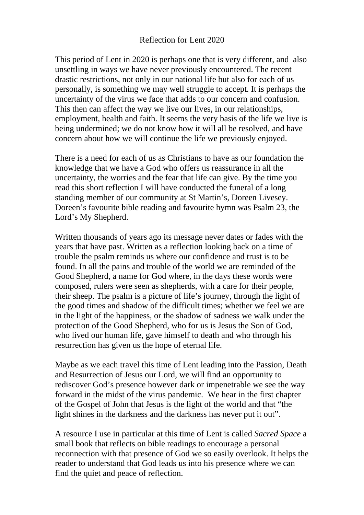This period of Lent in 2020 is perhaps one that is very different, and also unsettling in ways we have never previously encountered. The recent drastic restrictions, not only in our national life but also for each of us personally, is something we may well struggle to accept. It is perhaps the uncertainty of the virus we face that adds to our concern and confusion. This then can affect the way we live our lives, in our relationships, employment, health and faith. It seems the very basis of the life we live is being undermined; we do not know how it will all be resolved, and have concern about how we will continue the life we previously enjoyed.

There is a need for each of us as Christians to have as our foundation the knowledge that we have a God who offers us reassurance in all the uncertainty, the worries and the fear that life can give. By the time you read this short reflection I will have conducted the funeral of a long standing member of our community at St Martin's, Doreen Livesey. Doreen's favourite bible reading and favourite hymn was Psalm 23, the Lord's My Shepherd.

Written thousands of years ago its message never dates or fades with the years that have past. Written as a reflection looking back on a time of trouble the psalm reminds us where our confidence and trust is to be found. In all the pains and trouble of the world we are reminded of the Good Shepherd, a name for God where, in the days these words were composed, rulers were seen as shepherds, with a care for their people, their sheep. The psalm is a picture of life's journey, through the light of the good times and shadow of the difficult times; whether we feel we are in the light of the happiness, or the shadow of sadness we walk under the protection of the Good Shepherd, who for us is Jesus the Son of God, who lived our human life, gave himself to death and who through his resurrection has given us the hope of eternal life.

Maybe as we each travel this time of Lent leading into the Passion, Death and Resurrection of Jesus our Lord, we will find an opportunity to rediscover God's presence however dark or impenetrable we see the way forward in the midst of the virus pandemic. We hear in the first chapter of the Gospel of John that Jesus is the light of the world and that "the light shines in the darkness and the darkness has never put it out".

A resource I use in particular at this time of Lent is called *Sacred Space* a small book that reflects on bible readings to encourage a personal reconnection with that presence of God we so easily overlook. It helps the reader to understand that God leads us into his presence where we can find the quiet and peace of reflection.